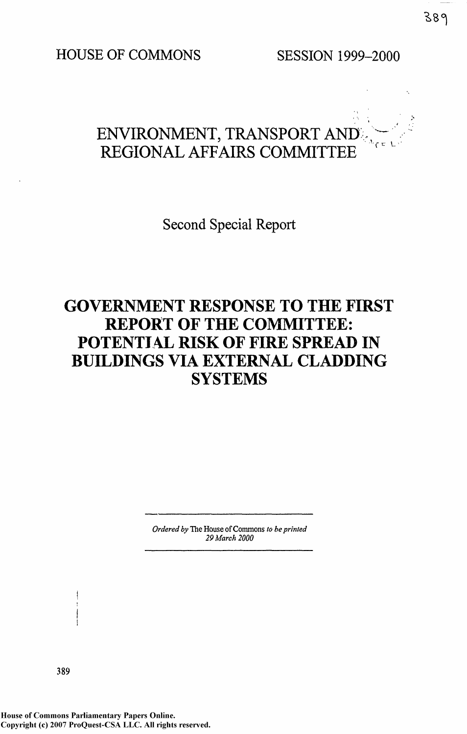**HOUSE OF COMMONS SESSION 1999-2000**



**Second Special Report**

# GOVERNMENT RESPONSE TO THE FIRST REPORT OF THE COMMITTEE: POTENTIAL RISK OF FIRE SPREAD IN BUILDINGS VIA EXTERNAL CLADDING **SYSTEMS**

*Ordered by* The House of Commons to be printed *29 March 2000*

**389**

 $\overline{\phantom{a}}$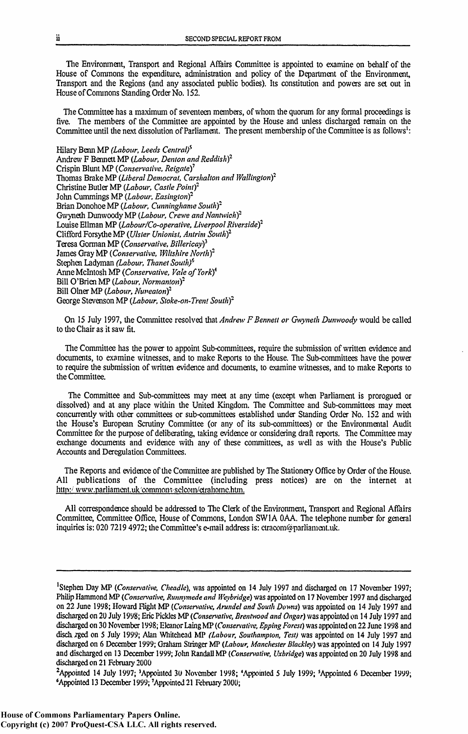The Environment, Transport and Regional Affairs Committee is appointed to examine on behalf of the House of Commons the expenditure, administration and policy of the Department of the Environment, Transport and the Regions (and any associated public bodies). Its constitution and powers are set out in House of Commons Standing Order No. 152.

The Committee has a maximum of seventeen members, of whom the quorum for any formal proceedings is five. The members of the Committee are appointed by the House and unless discharged remain on the Committee until the next dissolution of Parliament. The present membership of the Committee is as follows<sup>1</sup>:

Hilary Benn MP *(Labour, Leeds Central)<sup>5</sup>* Andrew F Bennett MP *(Labour, Denton and Reddish*)<sup>2</sup> Crispin Blunt MP *(Conservative, Reigatef* Thomas Brake MP *(Liberal Democrat, Carshalton and Wallingtonf* Christine Butler MP *(Labour, Castle Pointf* John Cummings MP (Labour, Easington)<sup>2</sup> Brian Donohoe MP (Labour, Cunninghame South)<sup>2</sup> Gwyneth Dunwoody MP *(Labour, Crewe and Nantwich)*<sup>2</sup> Louise Ellman MP (Labour/Co-operative, Liverpool Riverside)<sup>2</sup> Clifford Forsythe MP (Ulster Unionist, Antrim South)<sup>2</sup> Teresa Gorman MP *(Conservative, Billericayf* James Gray MP (Conservative, *Wiltshire North*)<sup>2</sup> Stqihen Ladyman *(Labour, Thanet South/'* Anne McIntosh MP (Conservative, Vale of York)<sup>4</sup> Bill O'Brien MP *(Labour, Normanton)'* Bill Olner MP *(Labour, Nuneaton/* George Stevenson MP *(Labour, Stoke-on-Trent South)'*

On 15 July 1997, the Committee resolved that *Andrew F Bennett or Gwyneth Dunwoody* would be called to the Chair as it saw fit.

The Committee has the power to appoint Sub-committees, require the submission of written evidence and documents, to examine witnesses, and to make Reports to the House. The Sub-committees have the power to require the submission of written evidence and documents, to examine witnesses, and to make Reports to the Committee.

The Committee and Sub-committees may meet at any time (except when Parliament is prorogued or dissolved) and at any place within the United Kingdom. The Committee and Sub-committees may meet concurrently with other committees or sub-committees established under Standing Order No. 152 and with the House's European Scrutiny Committee (or any of its sub-committees) or the Environmental Audit Committee for the purpose of deliberating, taking evidence or considering draft reports. The Committee may exchange documents and evidence with any of these committees, as well as with the House's Public Accounts and Deregulation Committees.

The Reports and evidence of the Committee are published by The Stationery Office by Order of the House. All publications of the Committee (including press notices) are on the internet at http://www.parliament.uk/commons/selcom/ctrahome.htm.

All correspondence should be addressed to The Clerk of the Environment, Transport and Regional Affairs Committee, Committee Office, House of Commons, London SW1A 0AA. The telephone number for general inquiries is: 020 7219 4972; the Committee's e-mail address is: ctraconi@parliament.uk.

<sup>2</sup>Appointed 14 July 1997; 'Appointed 30 November 1998; 'Appointed 5 July 1999; 'Appointed 6 December 1999; 'Appointed 13 Decanber 1999; ''Appoint&l 21 Rbruary 2000;

<sup>^</sup>Stephen Day MP *(Conservative, Cheadle),* was appointed on 14 July 1997 and discharged on 17 November 1997; Philip Hammond MP *(Consetvativc, Runnymede and Weybridge)* was appointed on 17 November 1997 and discharged on 22 June 1998; Howard Fliglit MP *(Conservative, Arundel and South Downs)* was appointed on 14 July 1997 and discharged on 20 July 1998; Eric Pickles MP (Conservative, Brentwood and Ongar) was appointed on 14 July 1997 and disdiarged on 30 November 1998; Eleanor Laing MP*(Conservative, EppingForest)* was appointed on 22 June 1998 and disch rged on 5 July 1999; Alan Whitehead MP *(Labour, Southampton, Test)* was appointed on 14 July 1997 and discharged on 6 December 1999; Graham Stringer MP *(Labour, Manchester Blackley)* was appointed on 14 July 1997 and discharged on 13 December 1999; John Randall MP *(Conservative, Uxbridge)* was appointed on 20 July 1998 and discharged on 21 February 2000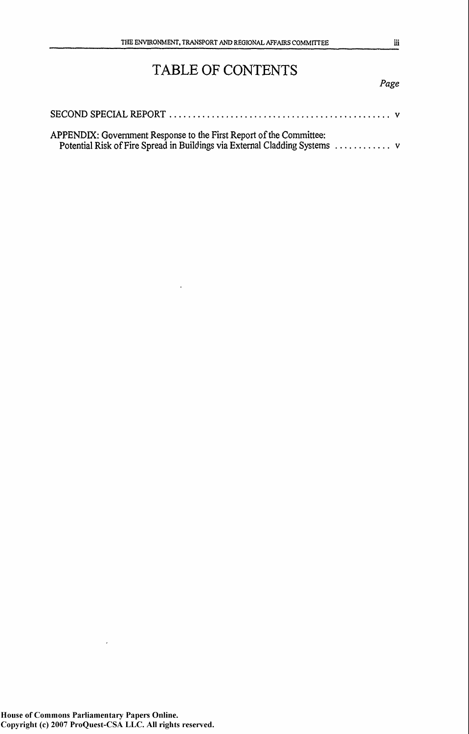## **TABLE OF CONTENTS**

### *Page*

| APPENDIX: Government Response to the First Report of the Committee: |  |
|---------------------------------------------------------------------|--|

 $\bar{\mathbf{x}}$ 

 $\sim 10^6$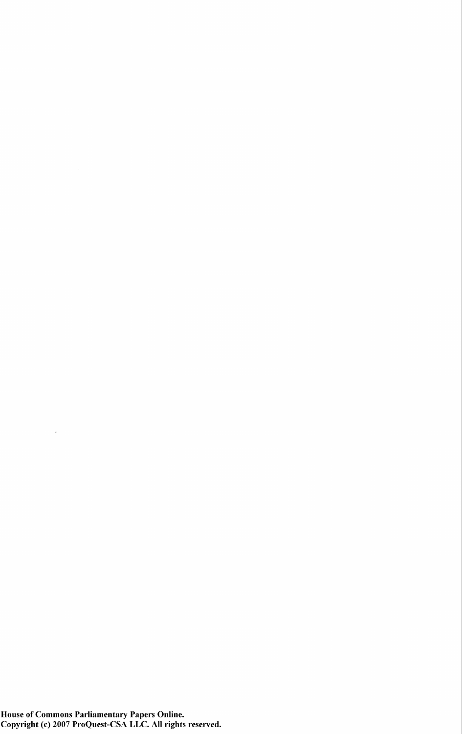**House of Commons Parliamentary Papers Online. Copyright (c) 2007 ProQuest-CSA LLC. All rights reserved.**

 $\label{eq:2.1} \frac{1}{\sqrt{2}}\int_{\mathbb{R}^3}\frac{1}{\sqrt{2}}\left(\frac{1}{\sqrt{2}}\right)^2\frac{1}{\sqrt{2}}\left(\frac{1}{\sqrt{2}}\right)^2\frac{1}{\sqrt{2}}\left(\frac{1}{\sqrt{2}}\right)^2\frac{1}{\sqrt{2}}\left(\frac{1}{\sqrt{2}}\right)^2.$ 

 $\mathcal{L}(\mathbf{X})$  and  $\mathcal{L}(\mathbf{X})$  .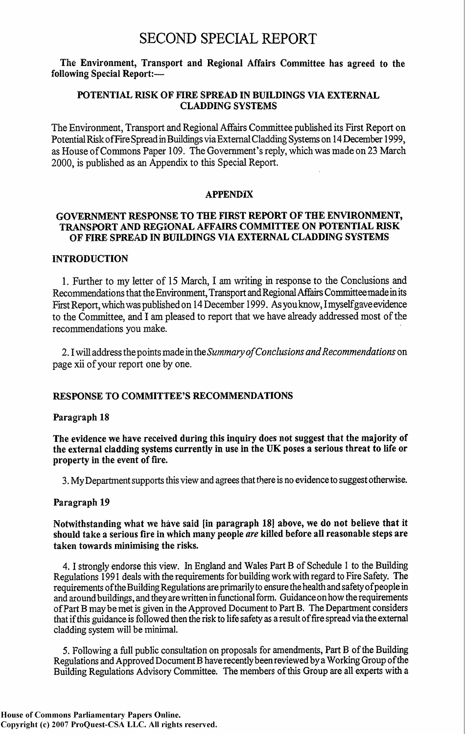## **SECOND SPECIAL REPORT**

#### The Environment, Transport and Regional Affairs Committee has agreed to the following Special Report:—

#### POTENTIAL RISK OF FIRE SPREAD IN BUILDINGS VIA EXTERNAL CLADDING SYSTEMS

The Environment, Transport and Regional Affairs Committee published its First Report on Potential Risk of Fire Spread in Buildings via External Cladding Systems on 14 December 1999, as House of Commons Paper 109. The Government's reply, which was made on 23 March 2000, is published as an Appendix to this Special Report.

#### APPENDIX

#### GOVERNMENT RESPONSE TO THE FIRST REPORT OF THE ENVIRONMENT, TRANSPORT AND REGIONAL AFFAIRS COMMITTEE ON POTENTIAL RISK OF FIRE SPREAD IN BUILDINGS VIA EXTERNAL CLADDING SYSTEMS

#### INTRODUCTION

1. Further to my letter of 15 March, I am writing in response to the Conclusions and Recommendations that the Environment, Transport and Regional Affairs Committee made in its First Report, which was published on 14 December 1999. As you know, Imyself gave evidence to the Committee, and I am pleased to report that we have already addressed most of the recommendations you make.

2. I will address the points made in the Summary of Conclusions and Recommendations on page xii of your report one by one.

#### RESPONSE TO COMMITTEE'S RECOMMENDATIONS

#### Paragraph 18

The evidence we have received during this inquiry does not suggest that the majority of the external cladding systems currently in use in the UK poses a serious threat to life or property in the event of fire.

3. My Department supports this view and agrees that there is no evidence to suggest otherwise.

#### Paragraph 19

Notwithstanding what we have said [in paragraph 18] above, we do not believe that it should take a serious fire in which many people *are* killed before all reasonable steps are taken towards minimising the risks.

4.1 strongly endorse this view. In England and Wales Part B of Schedule <sup>1</sup> to the Building Regulations 1991 deals with the requirements forbuilding workwith regard to Fire Safety. The requirements of the Building Regulations are primarily to ensure the health and safety of people in and around buildings, and they are written in functional form. Guidance on how the requirements ofPart B maybe met is given in the Approved Document to Part B. The Department considers that ifthis guidance is followed then the risk to life safety as aresult offire spread via the external cladding system will be minimal.

5. Following a full public consultation on proposals for amendments, Part B ofthe Building Regulations and Approved Document B have recently been reviewed by a Working Group of the Building Regulations Advisory Committee. The members of this Group are all experts with a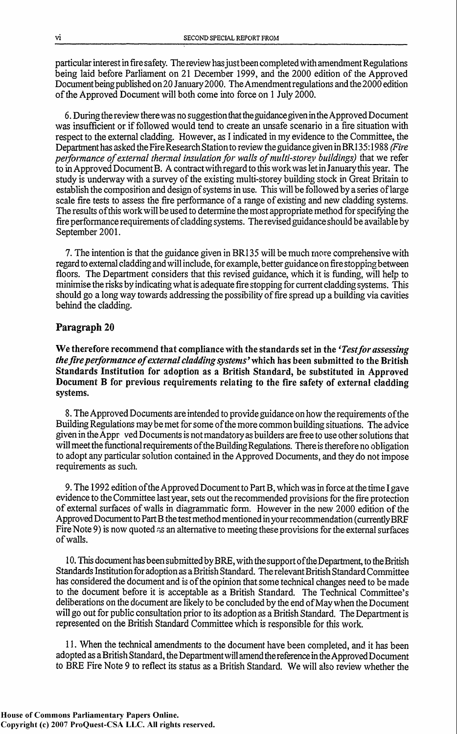particular interest in fire safety. The review has just been completed with amendment Regulations being laid before Parliament on 21 December 1999, and the 2000 edition of the Approved Documentbeing published on20 January2000. TheAmendmentregulations and the2000 edition of the Approved Document will both come into force on 1 July 2000.

6. During the review there was no suggestion that the guidance given in the Approved Document was insufficient or if followed would tend to create an unsafe scenario in a fire situation with respect to the external cladding. However, as I indicated in my evidence to the Committee, the Department has asked the Fire Research Station to review the guidance given in BR135:1988 *(Fire*) *performance ofexternal thermal insulation for walls ofmultistorey buildings)* that we refer to inApproved DocumentB. A contractwithregard to this workwasletin Januarythis year. The study is underway with a survey of the existing multi-storey building stock in Great Britain to establish the composition and design of systems in use. This will be followed by a series of large scale fire tests to assess the fire performance of a range of existing and new cladding systems. The results of this work will be used to determine the most appropriate method for specifying the fire performance requirements of cladding systems. The revised guidance should be available by September 2001.

7. The intention is that the guidance given in BRl 35 will be much more comprehensive with regard to external cladding and will include, for example,betterguidance on fire stoppingbetween floors. The Department considers that this revised guidance, which it is funding, will help to minimise the risks by indicating what is adequate fire stopping for current cladding systems. This should go a long way towards addressing the possibility of fire spread up a building via cavities behind the cladding.

#### **Paragraph 20**

**We therefore recommend that compliance with the standards set in the** *'Testfor assessing thefireperformance ofexternal cladding systems\* y/hicli* **has been submitted to the British Standards Institution for adoption as a British Standard, be substituted in Approved Document B for previous requirements relating to the fire safety of externa! cladding systems.**

8. TheApproved Documents are intended to provideguidance on how the requirements ofthe Building Regulations may be met for some of the more common building situations. The advice given in the Appr ved Documents is not mandatory as builders are free to use other solutions that will meet the functional requirements of the Building Regulations. There is therefore no obligation to adopt any particular solution contained in the Approved Documents, and they do not impose requirements as such.

9. The 1992 edition of the Approved Document to Part B, which was in force at the time I gave evidence to the Committee last year, sets out the recommended provisions for the fire protection of external surfaces of walls in diagrammatic form. However in the new 2000 edition of the Approved Document to Part B the test method mentioned in your recommendation (currently BRF Fire Note 9) is now quoted  $\infty$  an alternative to meeting these provisions for the external surfaces ofwalls.

10. This document has been submitted by BRE, with the support of the Department, to the British Standards Institution foradoption as aBritish Standard. TherelevantBritish Standard Committee has considered the document and is of the opinion that some technical changes need to be made to the document before it is acceptable as a British Standard. The Technical Committee's deliberations on the document are likely to be concluded by the end of May when the Document will go out for public consultation prior to its adoption as a British Standard. The Department is represented on the British Standard Committee which is responsible for this work.

11. When the technical amendments to the document have been completed, and it has been adopted as a British Standard, the Department will amend the reference in the Approved Document to BRE Fire Note 9 to reflect its status as a British Standard. We will also review whether the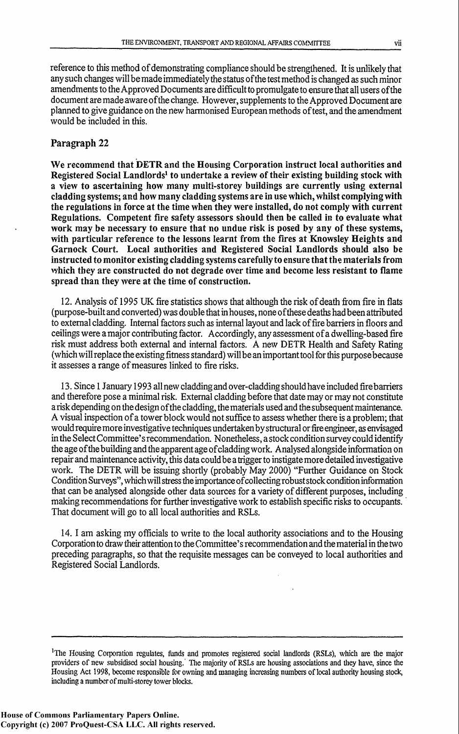reference to this method of demonstrating compliance should be strengthened. It is unlikely that any such changes will bemade immediatelythe status ofthe testmethod is changed as such minor amendments to the Approved Documents are difficult to promulgate to ensure that all users of the document are made aware of the change. However, supplements to the Approved Document are planned to give guidance on the new harmonised European methods of test, and the amendment would be included in this.

#### **Paragraph 22**

**We recommend that DETR and the Housing Corporation instruct local authorities and Registered Social Landlords\* to undertake a review of their existing building stock with a view to ascertaining how many multi-storey buildings are currently using external cladding systems; and how many cladding systems are in use which,whilst complyingwith the regulations in force at the time when they were installed, do not comply with current Regulations. Competent fire safety assessors should then be called in to evaluate what work may be necessary to ensure that no undue risk is posed by any of these systems, with particular reference to the lessons learnt from the fires at Knowsley Heights and Garnock Court. Local authorities and Registered Social Landlords should also be instructed to monitor existing cladding systems carefully to ensure that the materials from which they are constructed do not degrade over time and become less resistant to flame spread than they were at the time of construction.**

12. Analysis of 1995 UK fire statistics shows that although the risk of death from fire in flats (purpose-built and converted) was double thatinhouses, none ofthesedeaths hadbeen attributed to external cladding. Internal factors such as internal layout and lack offire barriers in floors and ceilings were a major contributing factor. Accordingly, any assessment of a dwelling-based fire risk must address both external and internal factors. A new DETR Health and Safety Rating (which will replace the existing fitness standard) will be an important tool for this purpose because it assesses a range of measures linked to fire risks.

13. Since <sup>1</sup> January 1993 all new cladding and over-cladding should have included firebarriers and therefore pose a minimal risk. External cladding before that date may or may not constitute ariskdepending onthedesign ofthe cladding, thematerials used and thesubsequentmaintenance. A visual inspection of a tower block would not suffice to assess whether there is a problem; that would require more investigative techniques undertaken by structural or fire engineer, as envisaged in the Select Committee's recommendation. Nonetheless, a stock condition survey could identify the age ofthebuildingand the apparentage ofcladdingwork. Analysed alongside information on repair and maintenance activity, this data could be a trigger to instigate more detailed investigative work. The DETR will be issuing shortly (probably May 2000) "Further Guidance on Stock Condition Surveys", which will stress the importance of collecting robust stock condition information that can be analysed alongside other data sources for a variety of different purposes, including making recommendations for further investigative work to establish specific risks to occupants. That document will go to all local authorities and RSLs.

14.1 am asking my officials to write to the local authority associations and to the Housing Corporation to draw their attention to theCommittee'srecommendation and thematerial in the two preceding paragraphs, so that the requisite messages can be conveyed to local authorities and Registered Social Landlords.

**<sup>&#</sup>x27;The Housing Coiporation regulates, fimds and promotes registered social landlords (RSLs), which are the major** providers of new subsidised social housing. The majority of RSLs are housing associations and they have, since the **Housing Act 1998, become responsible for owning and managing increasing numbers oflocal authority housing stock, including a number ofmulti-storey tower blocks.**